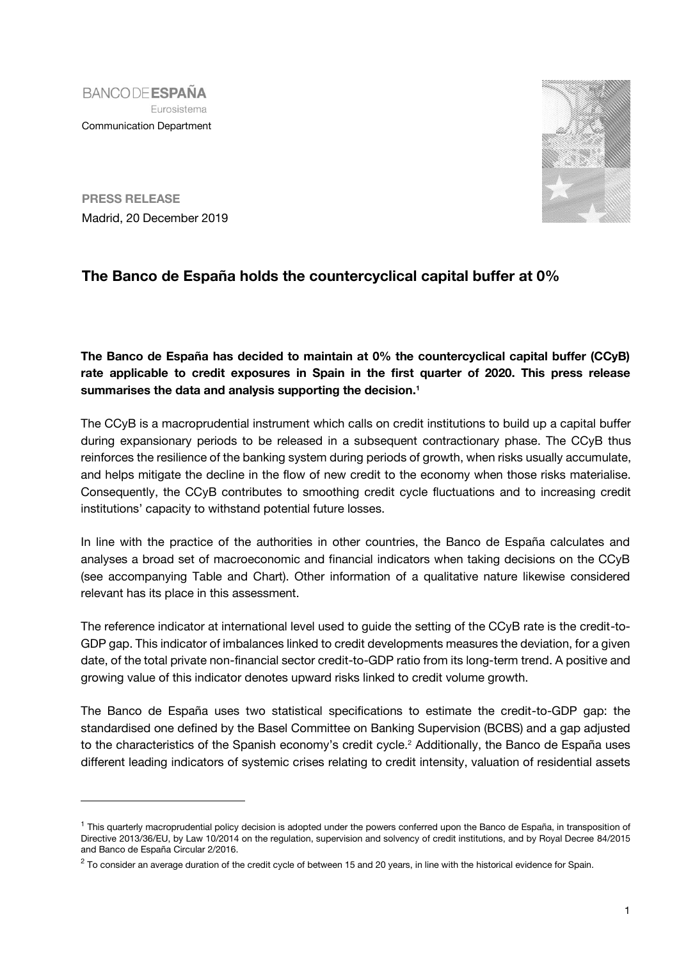



**PRESS RELEASE** Madrid, 20 December 2019

j

## **The Banco de España holds the countercyclical capital buffer at 0%**

**The Banco de España has decided to maintain at 0% the countercyclical capital buffer (CCyB) rate applicable to credit exposures in Spain in the first quarter of 2020. This press release summarises the data and analysis supporting the decision.<sup>1</sup>**

The CCyB is a macroprudential instrument which calls on credit institutions to build up a capital buffer during expansionary periods to be released in a subsequent contractionary phase. The CCyB thus reinforces the resilience of the banking system during periods of growth, when risks usually accumulate, and helps mitigate the decline in the flow of new credit to the economy when those risks materialise. Consequently, the CCyB contributes to smoothing credit cycle fluctuations and to increasing credit institutions' capacity to withstand potential future losses.

In line with the practice of the authorities in other countries, the Banco de España calculates and analyses a broad set of macroeconomic and financial indicators when taking decisions on the CCyB (see accompanying Table and Chart). Other information of a qualitative nature likewise considered relevant has its place in this assessment.

The reference indicator at international level used to guide the setting of the CCyB rate is the credit-to-GDP gap. This indicator of imbalances linked to credit developments measures the deviation, for a given date, of the total private non-financial sector credit-to-GDP ratio from its long-term trend. A positive and growing value of this indicator denotes upward risks linked to credit volume growth.

The Banco de España uses two statistical specifications to estimate the credit-to-GDP gap: the standardised one defined by the Basel Committee on Banking Supervision (BCBS) and a gap adjusted to the characteristics of the Spanish economy's credit cycle.<sup>2</sup> Additionally, the Banco de España uses different leading indicators of systemic crises relating to credit intensity, valuation of residential assets

<sup>&</sup>lt;sup>1</sup> This quarterly macroprudential policy decision is adopted under the powers conferred upon the Banco de España, in transposition of Directive 2013/36/EU, by Law 10/2014 on the regulation, supervision and solvency of credit institutions, and by Royal Decree 84/2015 and Banco de España Circular 2/2016.

 $^2$  To consider an average duration of the credit cycle of between 15 and 20 years, in line with the historical evidence for Spain.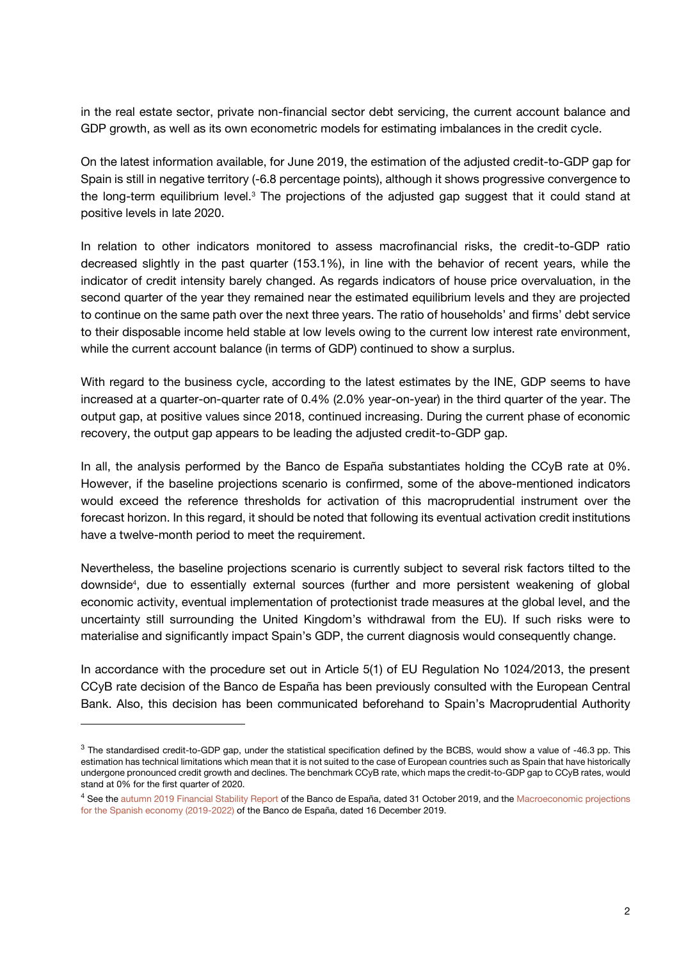in the real estate sector, private non-financial sector debt servicing, the current account balance and GDP growth, as well as its own econometric models for estimating imbalances in the credit cycle.

On the latest information available, for June 2019, the estimation of the adjusted credit-to-GDP gap for Spain is still in negative territory (-6.8 percentage points), although it shows progressive convergence to the long-term equilibrium level.<sup>3</sup> The projections of the adjusted gap suggest that it could stand at positive levels in late 2020.

In relation to other indicators monitored to assess macrofinancial risks, the credit-to-GDP ratio decreased slightly in the past quarter (153.1%), in line with the behavior of recent years, while the indicator of credit intensity barely changed. As regards indicators of house price overvaluation, in the second quarter of the year they remained near the estimated equilibrium levels and they are projected to continue on the same path over the next three years. The ratio of households' and firms' debt service to their disposable income held stable at low levels owing to the current low interest rate environment, while the current account balance (in terms of GDP) continued to show a surplus.

With regard to the business cycle, according to the latest estimates by the INE, GDP seems to have increased at a quarter-on-quarter rate of 0.4% (2.0% year-on-year) in the third quarter of the year. The output gap, at positive values since 2018, continued increasing. During the current phase of economic recovery, the output gap appears to be leading the adjusted credit-to-GDP gap.

In all, the analysis performed by the Banco de España substantiates holding the CCyB rate at 0%. However, if the baseline projections scenario is confirmed, some of the above-mentioned indicators would exceed the reference thresholds for activation of this macroprudential instrument over the forecast horizon. In this regard, it should be noted that following its eventual activation credit institutions have a twelve-month period to meet the requirement.

Nevertheless, the baseline projections scenario is currently subject to several risk factors tilted to the downside<sup>4</sup> , due to essentially external sources (further and more persistent weakening of global economic activity, eventual implementation of protectionist trade measures at the global level, and the uncertainty still surrounding the United Kingdom's withdrawal from the EU). If such risks were to materialise and significantly impact Spain's GDP, the current diagnosis would consequently change.

In accordance with the procedure set out in Article 5(1) of EU Regulation No 1024/2013, the present CCyB rate decision of the Banco de España has been previously consulted with the European Central Bank. Also, this decision has been communicated beforehand to Spain's Macroprudential Authority

l

 $3$  The standardised credit-to-GDP gap, under the statistical specification defined by the BCBS, would show a value of -46.3 pp. This estimation has technical limitations which mean that it is not suited to the case of European countries such as Spain that have historically undergone pronounced credit growth and declines. The benchmark CCyB rate, which maps the credit-to-GDP gap to CCyB rates, would stand at 0% for the first quarter of 2020.

<sup>&</sup>lt;sup>4</sup> See the [autumn 2019 Financial Stability Report](https://www.bde.es/bde/en/secciones/informes/boletines/Informe_de_Estab/) of the Banco de España, dated 31 October 2019, and the Macroeconomic projections [for the Spanish economy \(2019-2022\)](https://www.bde.es/bde/en/secciones/prensa/notas/Briefing_notes/) of the Banco de España, dated 16 December 2019.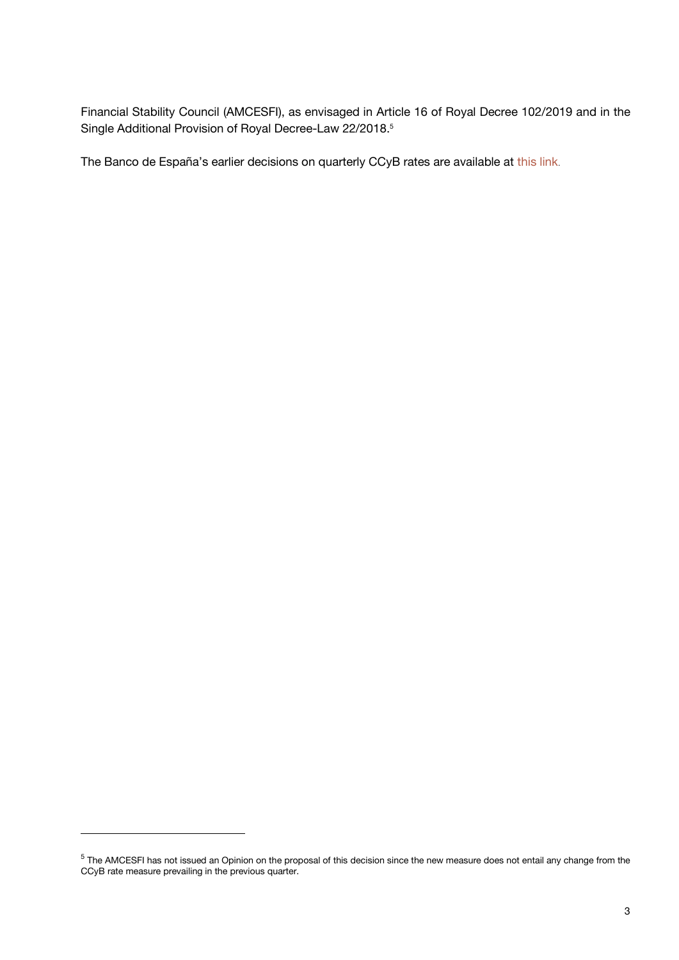Financial Stability Council (AMCESFI), as envisaged in Article 16 of Royal Decree 102/2019 and in the Single Additional Provision of Royal Decree-Law 22/2018.<sup>5</sup>

The Banco de España's earlier decisions on quarterly CCyB rates are available at [this link](https://www.bde.es/bde/en/areas/estabilidad/politica-macropr/Fijacion_del_po_abd79f06544b261.html).

l

 $^5$  The AMCESFI has not issued an Opinion on the proposal of this decision since the new measure does not entail any change from the CCyB rate measure prevailing in the previous quarter.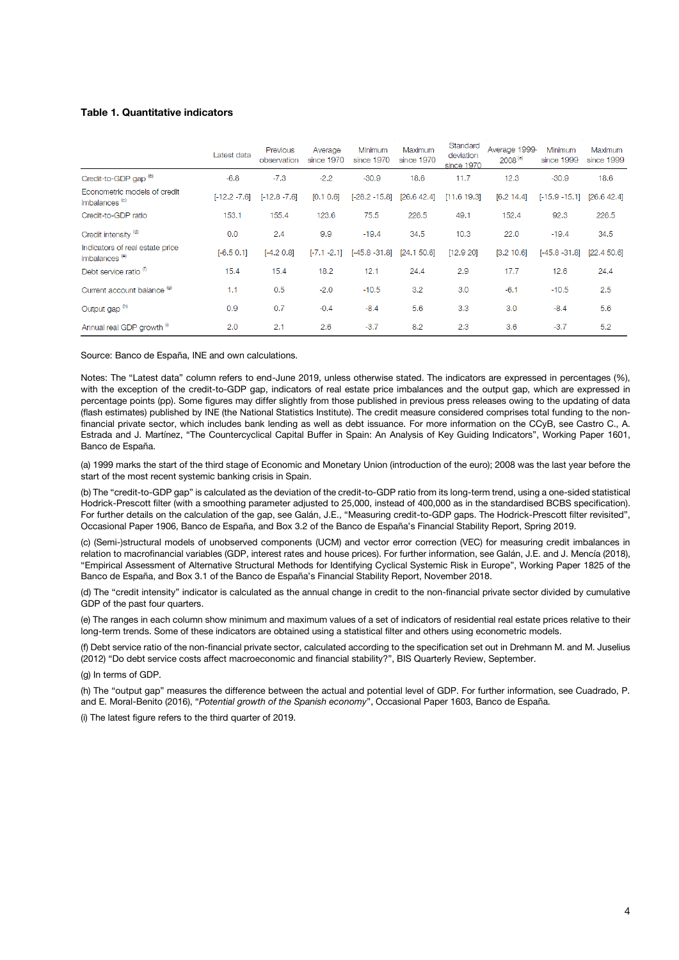## **Table 1. Quantitative indicators**

|                                                              | Latest data     | Previous<br>observation | Average<br>since 1970 | Minimum<br>since 1970 | Maximum<br>since 1970 | Standard<br>deviation<br>since 1970 | Average 1999.<br>$2008^{(a)}$ | Minimum<br>since 1999 | Maximum<br>since 1999 |
|--------------------------------------------------------------|-----------------|-------------------------|-----------------------|-----------------------|-----------------------|-------------------------------------|-------------------------------|-----------------------|-----------------------|
| Credit-to-GDP gap <sup>(b)</sup>                             | $-6.8$          | $-7.3$                  | $-2.2$                | $-30.9$               | 18.6                  | 11.7                                | 12.3                          | $-30.9$               | 18.6                  |
| Econometric models of credit<br>imbalances <sup>(c)</sup>    | $[-12.2 - 7.6]$ | $[-12.8 - 7.6]$         | [0.1 0.6]             | $[-28.2 - 15.8]$      | [26.6 42.4]           | [11.6 19.3]                         | [6.2 14.4]                    | $[-15.9 - 15.1]$      | [26.6 42.4]           |
| Credit-to-GDP ratio                                          | 153.1           | 155.4                   | 123.6                 | 75.5                  | 226.5                 | 49.1                                | 152.4                         | 92.3                  | 226.5                 |
| Credit intensity <sup>(d)</sup>                              | 0.0             | 2.4                     | 9.9                   | $-19.4$               | 34.5                  | 10.3                                | 22.0                          | $-19.4$               | 34.5                  |
| Indicators of real estate price<br>imbalances <sup>(e)</sup> | $[-6.5 0.1]$    | $[-4.2 0.8]$            | $[-7.1 - 2.1]$        | $[-45.8 - 31.8]$      | [24.1 50.6]           | [12.9 20]                           | [3.2 10.6]                    | $[-45.8 - 31.8]$      | [22.4 50.6]           |
| Debt service ratio <sup>(f)</sup>                            | 15.4            | 15.4                    | 18.2                  | 12.1                  | 24.4                  | 2.9                                 | 17.7                          | 12.6                  | 24.4                  |
| Current account balance (9)                                  | 1.1             | 0.5                     | $-2.0$                | $-10.5$               | 3.2                   | 3.0                                 | $-6.1$                        | $-10.5$               | 2.5                   |
| Output gap <sup>(h)</sup>                                    | 0.9             | 0.7                     | $-0.4$                | $-8.4$                | 5.6                   | 3.3                                 | 3.0                           | $-8.4$                | 5.6                   |
| Annual real GDP growth 0                                     | 2.0             | 2.1                     | 2.6                   | $-3.7$                | 8.2                   | 2.3                                 | 3.6                           | $-3.7$                | 5.2                   |

Source: Banco de España, INE and own calculations.

Notes: The "Latest data" column refers to end-June 2019, unless otherwise stated. The indicators are expressed in percentages (%), with the exception of the credit-to-GDP gap, indicators of real estate price imbalances and the output gap, which are expressed in percentage points (pp). Some figures may differ slightly from those published in previous press releases owing to the updating of data (flash estimates) published by INE (the National Statistics Institute). The credit measure considered comprises total funding to the nonfinancial private sector, which includes bank lending as well as debt issuance. For more information on the CCyB, see Castro C., A. Estrada and J. Martínez, "The Countercyclical Capital Buffer in Spain: An Analysis of Key Guiding Indicators", Working Paper 1601, Banco de España.

(a) 1999 marks the start of the third stage of Economic and Monetary Union (introduction of the euro); 2008 was the last year before the start of the most recent systemic banking crisis in Spain.

(b) The "credit-to-GDP gap" is calculated as the deviation of the credit-to-GDP ratio from its long-term trend, using a one-sided statistical Hodrick-Prescott filter (with a smoothing parameter adjusted to 25,000, instead of 400,000 as in the standardised BCBS specification). For further details on the calculation of the gap, see Galán, J.E., "Measuring credit-to-GDP gaps. The Hodrick-Prescott filter revisited", Occasional Paper 1906, Banco de España, and Box 3.2 of the Banco de España's Financial Stability Report, Spring 2019.

(c) (Semi-)structural models of unobserved components (UCM) and vector error correction (VEC) for measuring credit imbalances in relation to macrofinancial variables (GDP, interest rates and house prices). For further information, see Galán, J.E. and J. Mencía (2018), "Empirical Assessment of Alternative Structural Methods for Identifying Cyclical Systemic Risk in Europe", Working Paper 1825 of the Banco de España, and Box 3.1 of the Banco de España's Financial Stability Report, November 2018.

(d) The "credit intensity" indicator is calculated as the annual change in credit to the non-financial private sector divided by cumulative GDP of the past four quarters.

(e) The ranges in each column show minimum and maximum values of a set of indicators of residential real estate prices relative to their long-term trends. Some of these indicators are obtained using a statistical filter and others using econometric models.

(f) Debt service ratio of the non-financial private sector, calculated according to the specification set out in Drehmann M. and M. Juselius (2012) "Do debt service costs affect macroeconomic and financial stability?", BIS Quarterly Review, September.

(g) In terms of GDP.

(h) The "output gap" measures the difference between the actual and potential level of GDP. For further information, see Cuadrado, P. and E. Moral-Benito (2016), "*Potential growth of the Spanish economy*", Occasional Paper 1603, Banco de España.

(i) The latest figure refers to the third quarter of 2019.